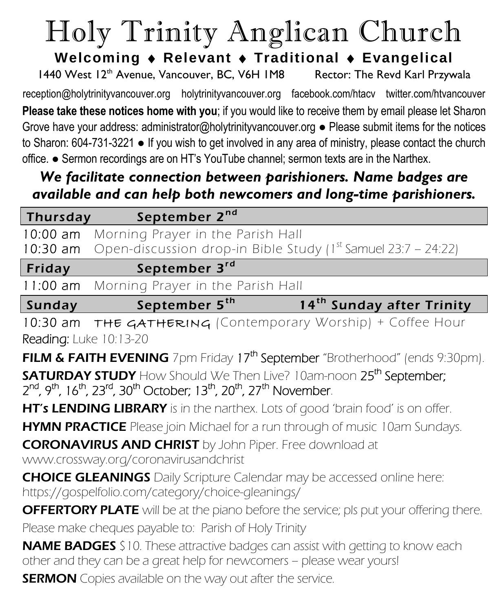# Holy Trinity Anglican Church

**Welcoming Relevant Traditional Evangelical**

1440 West 12<sup>th</sup> Avenue, Vancouver, BC, V6H 1M8 Rector: The Revd Karl Przywala reception@holytrinityvancouver.org [holytrinityvancouver.org](http://www.holytrinityvancouver.org/) facebook.com/htacv twitter.com/htvancouver

**Please take these notices home with you**; if you would like to receive them by email please let Sha*r*on Grove have your address: administrator@holytrinityvancouver.org ● Please submit items for the notices to Sharon: 604-731-3221 ● If you wish to get involved in any area of ministry, please contact the church office. ● Sermon recordings are on HT's YouTube channel; sermon texts are in the Narthex.

## *We facilitate connection between parishioners. Name badges are available and can help both newcomers and long-time parishioners.*

| <b>Thursday</b>        | September 2nd                                                                                                                                                        |
|------------------------|----------------------------------------------------------------------------------------------------------------------------------------------------------------------|
| $10:00$ am             | Morning Prayer in the Parish Hall                                                                                                                                    |
| $10:30$ am             | Open-discussion drop-in Bible Study ( $1st$ Samuel 23:7 – 24:22)                                                                                                     |
| Friday                 | September 3rd                                                                                                                                                        |
| $11:00$ am             | Morning Prayer in the Parish Hall                                                                                                                                    |
| Sunday                 | September 5 <sup>th</sup><br>14 <sup>th</sup> Sunday after Trinity                                                                                                   |
| 10:30 am               | THE GATHERING (Contemporary Worship) + Coffee Hour                                                                                                                   |
| Reading: Luke 10:13-20 |                                                                                                                                                                      |
|                        | <b>FILM &amp; FAITH EVENING</b> 7pm Friday 17 <sup>th</sup> September "Brotherhood" (ends 9:30pm).                                                                   |
|                        | <b>SATURDAY STUDY</b> How Should We Then Live? 10am-noon 25 <sup>th</sup> September;                                                                                 |
|                        | 2 <sup>nd</sup> , 9 <sup>th</sup> , 16 <sup>th</sup> , 23 <sup>rd</sup> , 30 <sup>th</sup> October; 13 <sup>th</sup> , 20 <sup>th</sup> , 27 <sup>th</sup> November. |
|                        | HT's LENDING LIBRARY is in the narthex. Lots of good 'brain food' is on offer.                                                                                       |
|                        | HYMN PRACTICE Please join Michael for a run through of music 10am Sundays.                                                                                           |
|                        | <b>CORONAVIRUS AND CHRIST</b> by John Piper. Free download at                                                                                                        |
|                        | www.crossway.org/coronavirusandchrist                                                                                                                                |
|                        | <b>CHOICE GLEANINGS</b> Daily Scripture Calendar may be accessed online here:                                                                                        |
|                        | https://gospelfolio.com/category/choice-gleanings/                                                                                                                   |
|                        | <b>OFFERTORY PLATE</b> will be at the piano before the service; pls put your offering there.                                                                         |
|                        | Please make cheques payable to: Parish of Holy Trinity                                                                                                               |
|                        | <b>NAME BADGES</b> \$10. These attractive badges can assist with getting to know each<br>other and they can be a great help for newcomers - please wear yours!       |

**SERMON** Copies available on the way out after the service.